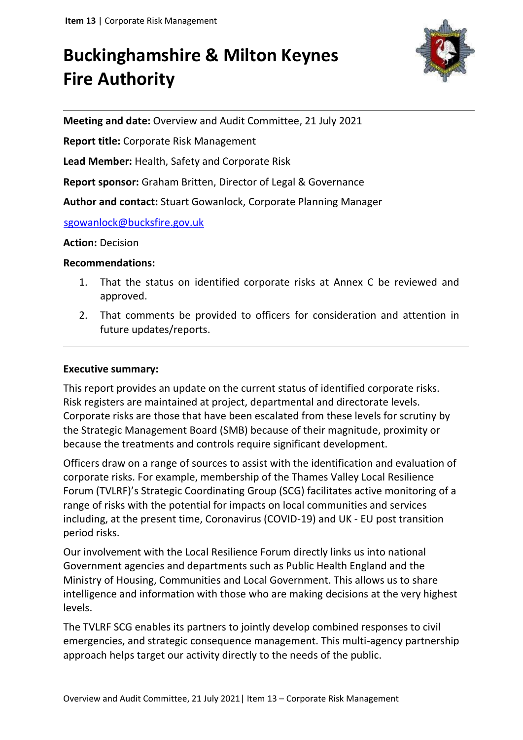# **Buckinghamshire & Milton Keynes Fire Authority**



**Meeting and date:** Overview and Audit Committee, 21 July 2021

**Report title:** Corporate Risk Management

**Lead Member:** Health, Safety and Corporate Risk

**Report sponsor:** Graham Britten, Director of Legal & Governance

**Author and contact:** Stuart Gowanlock, Corporate Planning Manager

sgowanlock@bucksfire.gov.uk

#### **Action:** Decision

#### **Recommendations:**

- 1. That the status on identified corporate risks at Annex C be reviewed and approved.
- 2. That comments be provided to officers for consideration and attention in future updates/reports.

#### **Executive summary:**

This report provides an update on the current status of identified corporate risks. Risk registers are maintained at project, departmental and directorate levels. Corporate risks are those that have been escalated from these levels for scrutiny by the Strategic Management Board (SMB) because of their magnitude, proximity or because the treatments and controls require significant development.

Officers draw on a range of sources to assist with the identification and evaluation of corporate risks. For example, membership of the Thames Valley Local Resilience Forum (TVLRF)'s Strategic Coordinating Group (SCG) facilitates active monitoring of a range of risks with the potential for impacts on local communities and services including, at the present time, Coronavirus (COVID-19) and UK - EU post transition period risks.

Our involvement with the Local Resilience Forum directly links us into national Government agencies and departments such as Public Health England and the Ministry of Housing, Communities and Local Government. This allows us to share intelligence and information with those who are making decisions at the very highest levels.

The TVLRF SCG enables its partners to jointly develop combined responses to civil emergencies, and strategic consequence management. This multi-agency partnership approach helps target our activity directly to the needs of the public.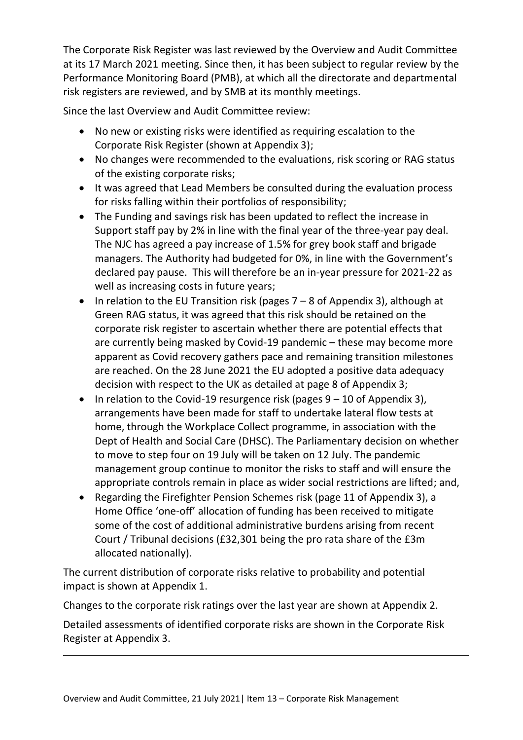The Corporate Risk Register was last reviewed by the Overview and Audit Committee at its 17 March 2021 meeting. Since then, it has been subject to regular review by the Performance Monitoring Board (PMB), at which all the directorate and departmental risk registers are reviewed, and by SMB at its monthly meetings.

Since the last Overview and Audit Committee review:

- No new or existing risks were identified as requiring escalation to the Corporate Risk Register (shown at Appendix 3);
- No changes were recommended to the evaluations, risk scoring or RAG status of the existing corporate risks;
- It was agreed that Lead Members be consulted during the evaluation process for risks falling within their portfolios of responsibility;
- The Funding and savings risk has been updated to reflect the increase in Support staff pay by 2% in line with the final year of the three-year pay deal. The NJC has agreed a pay increase of 1.5% for grey book staff and brigade managers. The Authority had budgeted for 0%, in line with the Government's declared pay pause. This will therefore be an in-year pressure for 2021-22 as well as increasing costs in future years;
- In relation to the EU Transition risk (pages  $7 8$  of Appendix 3), although at Green RAG status, it was agreed that this risk should be retained on the corporate risk register to ascertain whether there are potential effects that are currently being masked by Covid-19 pandemic – these may become more apparent as Covid recovery gathers pace and remaining transition milestones are reached. On the 28 June 2021 the EU adopted a positive data adequacy decision with respect to the UK as detailed at page 8 of Appendix 3;
- In relation to the Covid-19 resurgence risk (pages  $9 10$  of Appendix 3), arrangements have been made for staff to undertake lateral flow tests at home, through the Workplace Collect programme, in association with the Dept of Health and Social Care (DHSC). The Parliamentary decision on whether to move to step four on 19 July will be taken on 12 July. The pandemic management group continue to monitor the risks to staff and will ensure the appropriate controls remain in place as wider social restrictions are lifted; and,
- Regarding the Firefighter Pension Schemes risk (page 11 of Appendix 3), a Home Office 'one-off' allocation of funding has been received to mitigate some of the cost of additional administrative burdens arising from recent Court / Tribunal decisions (£32,301 being the pro rata share of the £3m allocated nationally).

The current distribution of corporate risks relative to probability and potential impact is shown at Appendix 1.

Changes to the corporate risk ratings over the last year are shown at Appendix 2.

Detailed assessments of identified corporate risks are shown in the Corporate Risk Register at Appendix 3.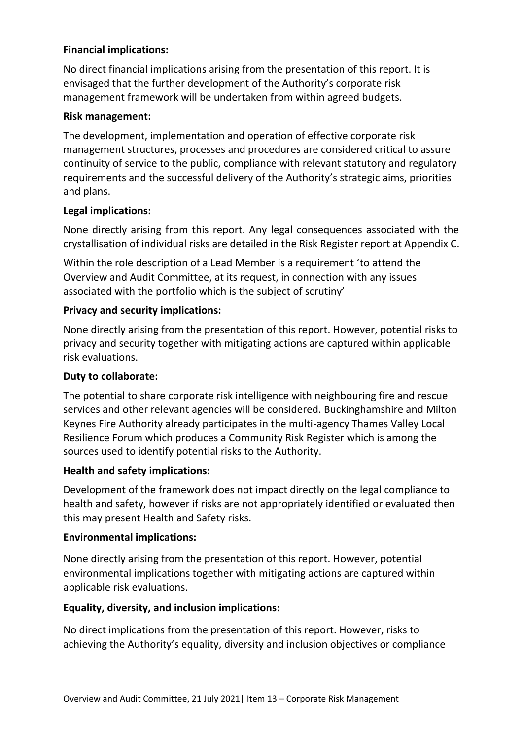### **Financial implications:**

No direct financial implications arising from the presentation of this report. It is envisaged that the further development of the Authority's corporate risk management framework will be undertaken from within agreed budgets.

#### **Risk management:**

The development, implementation and operation of effective corporate risk management structures, processes and procedures are considered critical to assure continuity of service to the public, compliance with relevant statutory and regulatory requirements and the successful delivery of the Authority's strategic aims, priorities and plans.

#### **Legal implications:**

None directly arising from this report. Any legal consequences associated with the crystallisation of individual risks are detailed in the Risk Register report at Appendix C.

Within the role description of a Lead Member is a requirement 'to attend the Overview and Audit Committee, at its request, in connection with any issues associated with the portfolio which is the subject of scrutiny'

#### **Privacy and security implications:**

None directly arising from the presentation of this report. However, potential risks to privacy and security together with mitigating actions are captured within applicable risk evaluations.

## **Duty to collaborate:**

The potential to share corporate risk intelligence with neighbouring fire and rescue services and other relevant agencies will be considered. Buckinghamshire and Milton Keynes Fire Authority already participates in the multi-agency Thames Valley Local Resilience Forum which produces a Community Risk Register which is among the sources used to identify potential risks to the Authority.

## **Health and safety implications:**

Development of the framework does not impact directly on the legal compliance to health and safety, however if risks are not appropriately identified or evaluated then this may present Health and Safety risks.

#### **Environmental implications:**

None directly arising from the presentation of this report. However, potential environmental implications together with mitigating actions are captured within applicable risk evaluations.

#### **Equality, diversity, and inclusion implications:**

No direct implications from the presentation of this report. However, risks to achieving the Authority's equality, diversity and inclusion objectives or compliance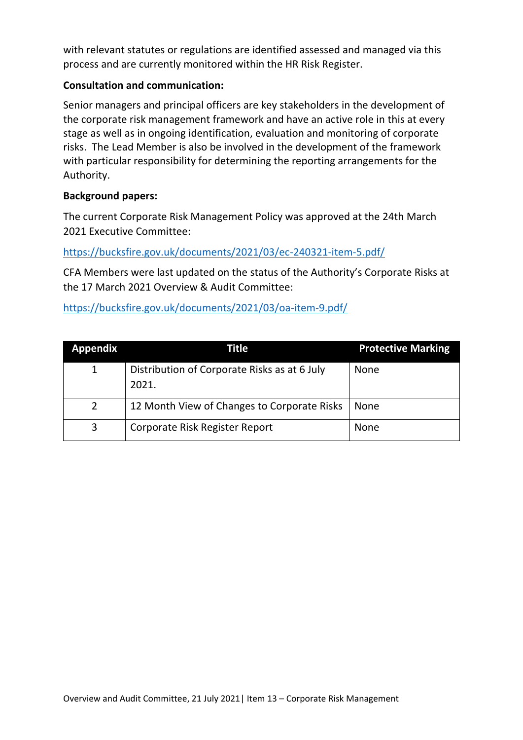with relevant statutes or regulations are identified assessed and managed via this process and are currently monitored within the HR Risk Register.

## **Consultation and communication:**

Senior managers and principal officers are key stakeholders in the development of the corporate risk management framework and have an active role in this at every stage as well as in ongoing identification, evaluation and monitoring of corporate risks. The Lead Member is also be involved in the development of the framework with particular responsibility for determining the reporting arrangements for the Authority.

## **Background papers:**

The current Corporate Risk Management Policy was approved at the 24th March 2021 Executive Committee:

<https://bucksfire.gov.uk/documents/2021/03/ec-240321-item-5.pdf/>

CFA Members were last updated on the status of the Authority's Corporate Risks at the 17 March 2021 Overview & Audit Committee:

<https://bucksfire.gov.uk/documents/2021/03/oa-item-9.pdf/>

| Appendix       | Title                                                 | <b>Protective Marking</b> |
|----------------|-------------------------------------------------------|---------------------------|
| 1              | Distribution of Corporate Risks as at 6 July<br>2021. | <b>None</b>               |
| $\overline{2}$ | 12 Month View of Changes to Corporate Risks           | None                      |
| 3              | Corporate Risk Register Report                        | <b>None</b>               |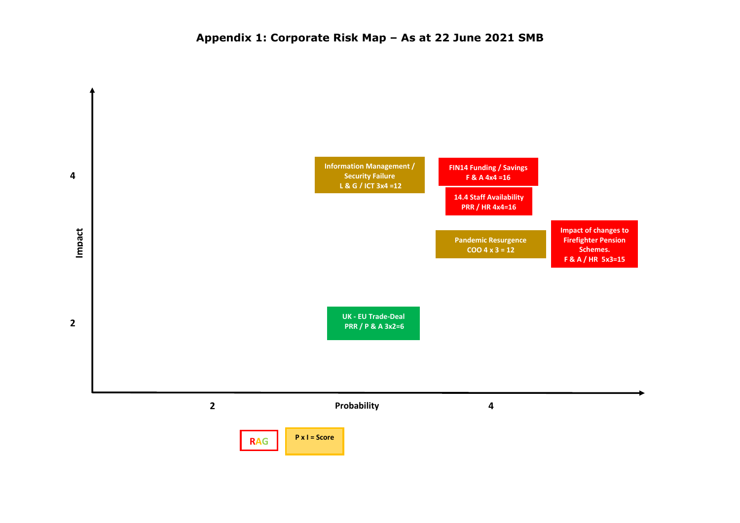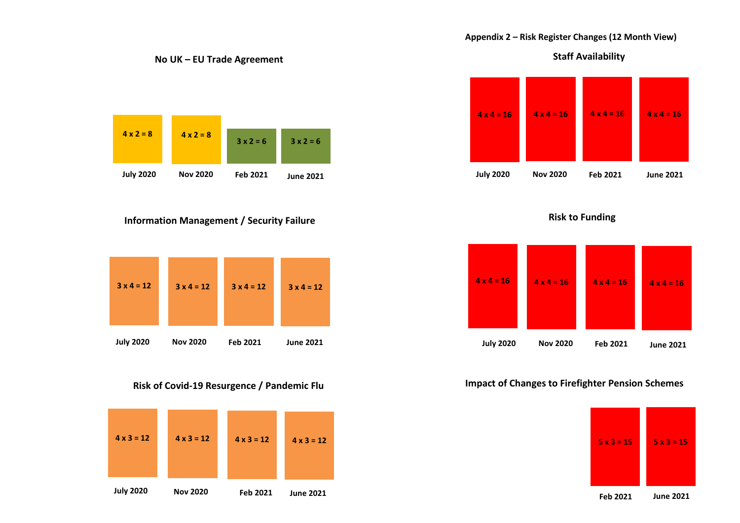#### **Appendix 2 – Risk Register Changes (12 Month View)**

**Staff Availability**



**Risk to Funding**



#### **Impact of Changes to Firefighter Pension Schemes**



**3 x 2 = 6 June 2021 4 x 2 = 8 July 2020 4 x 2 = 8 Nov 2020 3 x 2 = 6**

**No UK – EU Trade Agreement** 

#### **Information Management / Security Failure**



#### **Risk of Covid-19 Resurgence / Pandemic Flu**



**June 2021**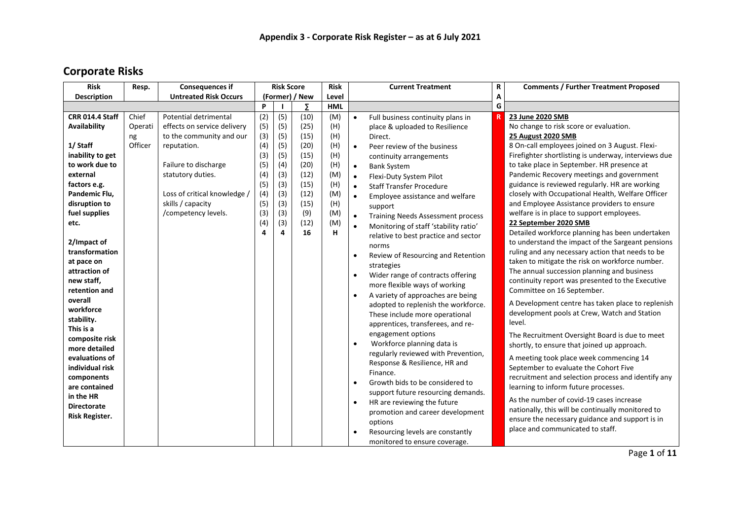# **Corporate Risks**

| <b>Risk</b>                 | Resp.   | <b>Consequences if</b>       | <b>Risk Score</b> |     | <b>Risk</b>    |            | <b>Current Treatment</b> | R                                        | <b>Comments / Further Treatment Proposed</b> |                                                                                |
|-----------------------------|---------|------------------------------|-------------------|-----|----------------|------------|--------------------------|------------------------------------------|----------------------------------------------|--------------------------------------------------------------------------------|
| <b>Description</b>          |         | <b>Untreated Risk Occurs</b> |                   |     | (Former) / New | Level      |                          |                                          | A                                            |                                                                                |
|                             |         |                              | P                 |     | Σ              | <b>HML</b> |                          |                                          | G                                            |                                                                                |
| <b>CRR 014.4 Staff</b>      | Chief   | Potential detrimental        | (2)               | (5) | (10)           | (M)        | $\bullet$                | Full business continuity plans in        |                                              | 23 June 2020 SMB                                                               |
| <b>Availability</b>         | Operati | effects on service delivery  | (5)               | (5) | (25)           | (H)        |                          | place & uploaded to Resilience           |                                              | No change to risk score or evaluation.                                         |
|                             | ng      | to the community and our     | (3)               | (5) | (15)           | (H)        |                          | Direct.                                  |                                              | 25 August 2020 SMB                                                             |
| 1/ Staff                    | Officer | reputation.                  | (4)               | (5) | (20)           | (H)        | $\bullet$                | Peer review of the business              |                                              | 8 On-call employees joined on 3 August. Flexi-                                 |
| inability to get            |         |                              | (3)               | (5) | (15)           | (H)        |                          | continuity arrangements                  |                                              | Firefighter shortlisting is underway, interviews due                           |
| to work due to              |         | Failure to discharge         | (5)               | (4) | (20)           | (H)        | $\bullet$                | <b>Bank System</b>                       |                                              | to take place in September. HR presence at                                     |
| external                    |         | statutory duties.            | (4)               | (3) | (12)           | (M)        | $\bullet$                | Flexi-Duty System Pilot                  |                                              | Pandemic Recovery meetings and government                                      |
| factors e.g.                |         |                              | (5)               | (3) | (15)           | (H)        | $\bullet$                | <b>Staff Transfer Procedure</b>          |                                              | guidance is reviewed regularly. HR are working                                 |
| Pandemic Flu,               |         | Loss of critical knowledge / | (4)               | (3) | (12)           | (M)        | $\bullet$                | Employee assistance and welfare          |                                              | closely with Occupational Health, Welfare Officer                              |
| disruption to               |         | skills / capacity            | (5)               | (3) | (15)           | (H)        |                          | support                                  |                                              | and Employee Assistance providers to ensure                                    |
| fuel supplies               |         | /competency levels.          | (3)               | (3) | (9)            | (M)        | $\bullet$                | <b>Training Needs Assessment process</b> |                                              | welfare is in place to support employees.                                      |
| etc.                        |         |                              | (4)               | (3) | (12)           | (M)        | $\bullet$                | Monitoring of staff 'stability ratio'    |                                              | 22 September 2020 SMB                                                          |
|                             |         |                              | 4                 | 4   | 16             | н          |                          | relative to best practice and sector     |                                              | Detailed workforce planning has been undertaken                                |
| 2/Impact of                 |         |                              |                   |     |                |            |                          | norms                                    |                                              | to understand the impact of the Sargeant pensions                              |
| transformation              |         |                              |                   |     |                |            | $\bullet$                | Review of Resourcing and Retention       |                                              | ruling and any necessary action that needs to be                               |
| at pace on                  |         |                              |                   |     |                |            |                          | strategies                               |                                              | taken to mitigate the risk on workforce number.                                |
| attraction of               |         |                              |                   |     |                |            | $\bullet$                | Wider range of contracts offering        |                                              | The annual succession planning and business                                    |
| new staff,<br>retention and |         |                              |                   |     |                |            |                          | more flexible ways of working            |                                              | continuity report was presented to the Executive<br>Committee on 16 September. |
| overall                     |         |                              |                   |     |                |            | $\bullet$                | A variety of approaches are being        |                                              |                                                                                |
| workforce                   |         |                              |                   |     |                |            |                          | adopted to replenish the workforce.      |                                              | A Development centre has taken place to replenish                              |
| stability.                  |         |                              |                   |     |                |            |                          | These include more operational           |                                              | development pools at Crew, Watch and Station                                   |
| This is a                   |         |                              |                   |     |                |            |                          | apprentices, transferees, and re-        |                                              | level.                                                                         |
| composite risk              |         |                              |                   |     |                |            |                          | engagement options                       |                                              | The Recruitment Oversight Board is due to meet                                 |
| more detailed               |         |                              |                   |     |                |            | $\bullet$                | Workforce planning data is               |                                              | shortly, to ensure that joined up approach.                                    |
| evaluations of              |         |                              |                   |     |                |            |                          | regularly reviewed with Prevention,      |                                              | A meeting took place week commencing 14                                        |
| individual risk             |         |                              |                   |     |                |            |                          | Response & Resilience, HR and            |                                              | September to evaluate the Cohort Five                                          |
| components                  |         |                              |                   |     |                |            |                          | Finance.                                 |                                              | recruitment and selection process and identify any                             |
| are contained               |         |                              |                   |     |                |            | $\bullet$                | Growth bids to be considered to          |                                              | learning to inform future processes.                                           |
| in the HR                   |         |                              |                   |     |                |            |                          | support future resourcing demands.       |                                              | As the number of covid-19 cases increase                                       |
| <b>Directorate</b>          |         |                              |                   |     |                |            | $\bullet$                | HR are reviewing the future              |                                              |                                                                                |
| Risk Register.              |         |                              |                   |     |                |            |                          | promotion and career development         |                                              | nationally, this will be continually monitored to                              |
|                             |         |                              |                   |     |                |            |                          | options                                  |                                              | ensure the necessary guidance and support is in                                |
|                             |         |                              |                   |     |                |            |                          | Resourcing levels are constantly         |                                              | place and communicated to staff.                                               |
|                             |         |                              |                   |     |                |            |                          | monitored to ensure coverage.            |                                              |                                                                                |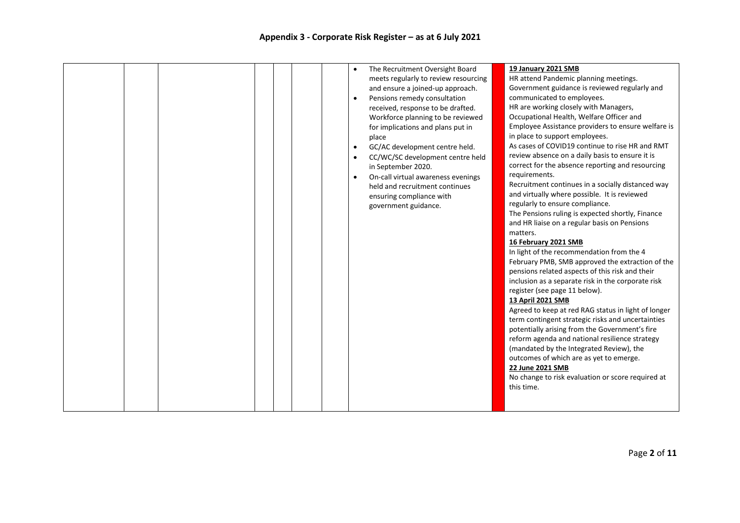|  |  |  | The Recruitment Oversight Board<br>$\bullet$<br>and ensure a joined-up approach.<br>Pensions remedy consultation<br>$\bullet$<br>received, response to be drafted.<br>for implications and plans put in<br>place<br>GC/AC development centre held.<br>$\bullet$<br>$\bullet$<br>in September 2020.<br>$\bullet$<br>held and recruitment continues<br>ensuring compliance with<br>government guidance. | meets regularly to review resourcing<br>Workforce planning to be reviewed<br>CC/WC/SC development centre held<br>On-call virtual awareness evenings | 19 January 2021 SMB<br>HR attend Pandemic planning meetings.<br>Government guidance is reviewed regularly and<br>communicated to employees.<br>HR are working closely with Managers,<br>Occupational Health, Welfare Officer and<br>Employee Assistance providers to ensure welfare is<br>in place to support employees.<br>As cases of COVID19 continue to rise HR and RMT<br>review absence on a daily basis to ensure it is<br>correct for the absence reporting and resourcing<br>requirements.<br>Recruitment continues in a socially distanced way<br>and virtually where possible. It is reviewed<br>regularly to ensure compliance.<br>The Pensions ruling is expected shortly, Finance<br>and HR liaise on a regular basis on Pensions<br>matters.<br>16 February 2021 SMB<br>In light of the recommendation from the 4<br>February PMB, SMB approved the extraction of the<br>pensions related aspects of this risk and their<br>inclusion as a separate risk in the corporate risk<br>register (see page 11 below).<br>13 April 2021 SMB<br>Agreed to keep at red RAG status in light of longer<br>term contingent strategic risks and uncertainties<br>potentially arising from the Government's fire<br>reform agenda and national resilience strategy<br>(mandated by the Integrated Review), the<br>outcomes of which are as yet to emerge.<br>22 June 2021 SMB<br>No change to risk evaluation or score required at<br>this time. |
|--|--|--|-------------------------------------------------------------------------------------------------------------------------------------------------------------------------------------------------------------------------------------------------------------------------------------------------------------------------------------------------------------------------------------------------------|-----------------------------------------------------------------------------------------------------------------------------------------------------|---------------------------------------------------------------------------------------------------------------------------------------------------------------------------------------------------------------------------------------------------------------------------------------------------------------------------------------------------------------------------------------------------------------------------------------------------------------------------------------------------------------------------------------------------------------------------------------------------------------------------------------------------------------------------------------------------------------------------------------------------------------------------------------------------------------------------------------------------------------------------------------------------------------------------------------------------------------------------------------------------------------------------------------------------------------------------------------------------------------------------------------------------------------------------------------------------------------------------------------------------------------------------------------------------------------------------------------------------------------------------------------------------------------------------------------------------|
|--|--|--|-------------------------------------------------------------------------------------------------------------------------------------------------------------------------------------------------------------------------------------------------------------------------------------------------------------------------------------------------------------------------------------------------------|-----------------------------------------------------------------------------------------------------------------------------------------------------|---------------------------------------------------------------------------------------------------------------------------------------------------------------------------------------------------------------------------------------------------------------------------------------------------------------------------------------------------------------------------------------------------------------------------------------------------------------------------------------------------------------------------------------------------------------------------------------------------------------------------------------------------------------------------------------------------------------------------------------------------------------------------------------------------------------------------------------------------------------------------------------------------------------------------------------------------------------------------------------------------------------------------------------------------------------------------------------------------------------------------------------------------------------------------------------------------------------------------------------------------------------------------------------------------------------------------------------------------------------------------------------------------------------------------------------------------|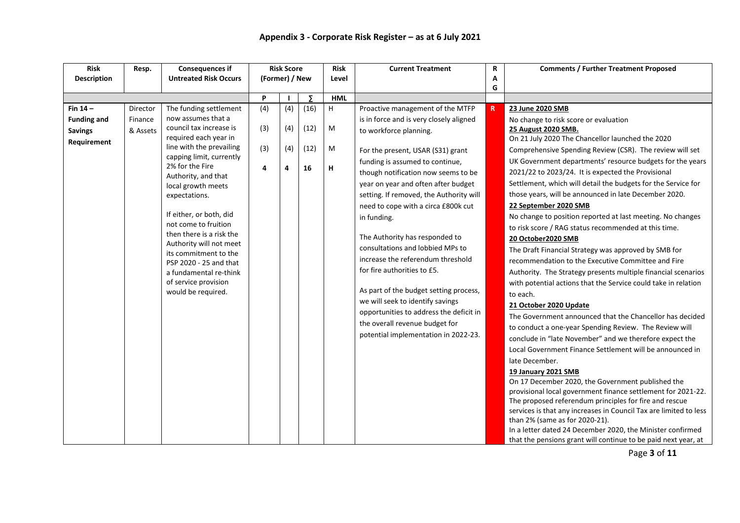| <b>Description</b><br><b>Untreated Risk Occurs</b><br>(Former) / New<br>Level<br>A<br>G<br>P<br>Σ<br><b>HML</b><br>(4)<br>Fin $14-$<br>The funding settlement<br>(16)<br>H<br>Proactive management of the MTFP<br>Director<br>(4)<br>23 June 2020 SMB<br>R.<br>now assumes that a<br>Finance | <b>Comments / Further Treatment Proposed</b> | R | <b>Current Treatment</b>                | <b>Risk</b> | <b>Risk Score</b> | <b>Consequences if</b> | Resp. | <b>Risk</b>        |
|----------------------------------------------------------------------------------------------------------------------------------------------------------------------------------------------------------------------------------------------------------------------------------------------|----------------------------------------------|---|-----------------------------------------|-------------|-------------------|------------------------|-------|--------------------|
|                                                                                                                                                                                                                                                                                              |                                              |   |                                         |             |                   |                        |       |                    |
|                                                                                                                                                                                                                                                                                              |                                              |   |                                         |             |                   |                        |       |                    |
|                                                                                                                                                                                                                                                                                              |                                              |   |                                         |             |                   |                        |       |                    |
|                                                                                                                                                                                                                                                                                              |                                              |   |                                         |             |                   |                        |       |                    |
|                                                                                                                                                                                                                                                                                              | No change to risk score or evaluation        |   | is in force and is very closely aligned |             |                   |                        |       | <b>Funding and</b> |
| council tax increase is<br>(3)<br>(12)<br>(4)<br>M<br>25 August 2020 SMB.<br>& Assets<br>to workforce planning.<br><b>Savings</b>                                                                                                                                                            |                                              |   |                                         |             |                   |                        |       |                    |
| required each year in<br>On 21 July 2020 The Chancellor launched the 2020<br>Requirement                                                                                                                                                                                                     |                                              |   |                                         |             |                   |                        |       |                    |
| line with the prevailing<br>(3)<br>(4)<br>(12)<br>M<br>Comprehensive Spending Review (CSR). The review will set<br>For the present, USAR (S31) grant                                                                                                                                         |                                              |   |                                         |             |                   |                        |       |                    |
| capping limit, currently<br>UK Government departments' resource budgets for the years<br>funding is assumed to continue,<br>2% for the Fire                                                                                                                                                  |                                              |   |                                         |             |                   |                        |       |                    |
| 4<br>16<br>н<br>4<br>2021/22 to 2023/24. It is expected the Provisional<br>though notification now seems to be<br>Authority, and that                                                                                                                                                        |                                              |   |                                         |             |                   |                        |       |                    |
| Settlement, which will detail the budgets for the Service for<br>year on year and often after budget<br>local growth meets                                                                                                                                                                   |                                              |   |                                         |             |                   |                        |       |                    |
| those years, will be announced in late December 2020.<br>setting. If removed, the Authority will<br>expectations.                                                                                                                                                                            |                                              |   |                                         |             |                   |                        |       |                    |
| 22 September 2020 SMB<br>need to cope with a circa £800k cut                                                                                                                                                                                                                                 |                                              |   |                                         |             |                   |                        |       |                    |
| If either, or both, did<br>No change to position reported at last meeting. No changes<br>in funding.                                                                                                                                                                                         |                                              |   |                                         |             |                   |                        |       |                    |
| not come to fruition<br>to risk score / RAG status recommended at this time.                                                                                                                                                                                                                 |                                              |   |                                         |             |                   |                        |       |                    |
| then there is a risk the<br>The Authority has responded to<br>20 October2020 SMB                                                                                                                                                                                                             |                                              |   |                                         |             |                   |                        |       |                    |
| Authority will not meet<br>consultations and lobbied MPs to<br>The Draft Financial Strategy was approved by SMB for<br>its commitment to the                                                                                                                                                 |                                              |   |                                         |             |                   |                        |       |                    |
| increase the referendum threshold<br>recommendation to the Executive Committee and Fire<br>PSP 2020 - 25 and that                                                                                                                                                                            |                                              |   |                                         |             |                   |                        |       |                    |
| for fire authorities to £5.<br>Authority. The Strategy presents multiple financial scenarios<br>a fundamental re-think                                                                                                                                                                       |                                              |   |                                         |             |                   |                        |       |                    |
| of service provision<br>with potential actions that the Service could take in relation                                                                                                                                                                                                       |                                              |   |                                         |             |                   |                        |       |                    |
| As part of the budget setting process,<br>would be required.<br>to each.                                                                                                                                                                                                                     |                                              |   |                                         |             |                   |                        |       |                    |
| we will seek to identify savings<br>21 October 2020 Update                                                                                                                                                                                                                                   |                                              |   |                                         |             |                   |                        |       |                    |
| opportunities to address the deficit in<br>The Government announced that the Chancellor has decided                                                                                                                                                                                          |                                              |   |                                         |             |                   |                        |       |                    |
| the overall revenue budget for<br>to conduct a one-year Spending Review. The Review will                                                                                                                                                                                                     |                                              |   |                                         |             |                   |                        |       |                    |
| potential implementation in 2022-23.<br>conclude in "late November" and we therefore expect the                                                                                                                                                                                              |                                              |   |                                         |             |                   |                        |       |                    |
| Local Government Finance Settlement will be announced in                                                                                                                                                                                                                                     |                                              |   |                                         |             |                   |                        |       |                    |
| late December.                                                                                                                                                                                                                                                                               |                                              |   |                                         |             |                   |                        |       |                    |
| 19 January 2021 SMB                                                                                                                                                                                                                                                                          |                                              |   |                                         |             |                   |                        |       |                    |
| On 17 December 2020, the Government published the                                                                                                                                                                                                                                            |                                              |   |                                         |             |                   |                        |       |                    |
| provisional local government finance settlement for 2021-22.                                                                                                                                                                                                                                 |                                              |   |                                         |             |                   |                        |       |                    |
| The proposed referendum principles for fire and rescue                                                                                                                                                                                                                                       |                                              |   |                                         |             |                   |                        |       |                    |
| services is that any increases in Council Tax are limited to less                                                                                                                                                                                                                            |                                              |   |                                         |             |                   |                        |       |                    |
| than 2% (same as for 2020-21).                                                                                                                                                                                                                                                               |                                              |   |                                         |             |                   |                        |       |                    |
| In a letter dated 24 December 2020, the Minister confirmed<br>that the pensions grant will continue to be paid next year, at                                                                                                                                                                 |                                              |   |                                         |             |                   |                        |       |                    |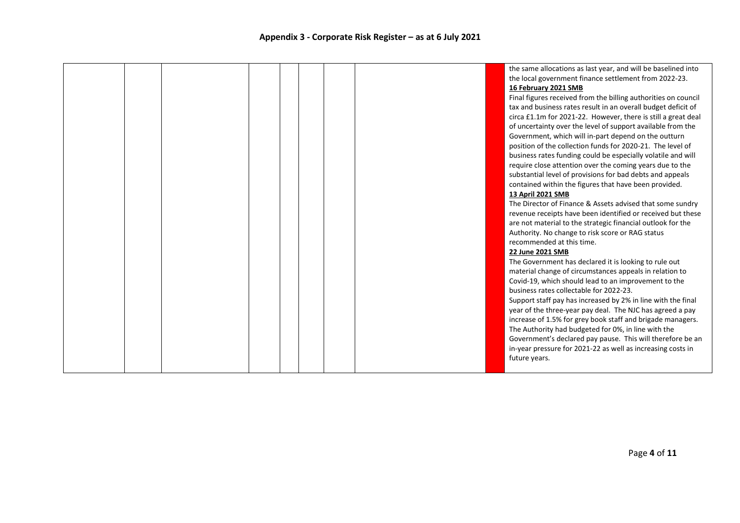|  |  |  |  | the same allocations as last year, and will be baselined into  |
|--|--|--|--|----------------------------------------------------------------|
|  |  |  |  | the local government finance settlement from 2022-23.          |
|  |  |  |  | 16 February 2021 SMB                                           |
|  |  |  |  | Final figures received from the billing authorities on council |
|  |  |  |  | tax and business rates result in an overall budget deficit of  |
|  |  |  |  | circa £1.1m for 2021-22. However, there is still a great deal  |
|  |  |  |  | of uncertainty over the level of support available from the    |
|  |  |  |  | Government, which will in-part depend on the outturn           |
|  |  |  |  | position of the collection funds for 2020-21. The level of     |
|  |  |  |  | business rates funding could be especially volatile and will   |
|  |  |  |  | require close attention over the coming years due to the       |
|  |  |  |  | substantial level of provisions for bad debts and appeals      |
|  |  |  |  | contained within the figures that have been provided.          |
|  |  |  |  | 13 April 2021 SMB                                              |
|  |  |  |  | The Director of Finance & Assets advised that some sundry      |
|  |  |  |  | revenue receipts have been identified or received but these    |
|  |  |  |  | are not material to the strategic financial outlook for the    |
|  |  |  |  | Authority. No change to risk score or RAG status               |
|  |  |  |  | recommended at this time.                                      |
|  |  |  |  | 22 June 2021 SMB                                               |
|  |  |  |  | The Government has declared it is looking to rule out          |
|  |  |  |  | material change of circumstances appeals in relation to        |
|  |  |  |  | Covid-19, which should lead to an improvement to the           |
|  |  |  |  | business rates collectable for 2022-23.                        |
|  |  |  |  | Support staff pay has increased by 2% in line with the final   |
|  |  |  |  | year of the three-year pay deal. The NJC has agreed a pay      |
|  |  |  |  | increase of 1.5% for grey book staff and brigade managers.     |
|  |  |  |  | The Authority had budgeted for 0%, in line with the            |
|  |  |  |  | Government's declared pay pause. This will therefore be an     |
|  |  |  |  | in-year pressure for 2021-22 as well as increasing costs in    |
|  |  |  |  | future years.                                                  |
|  |  |  |  |                                                                |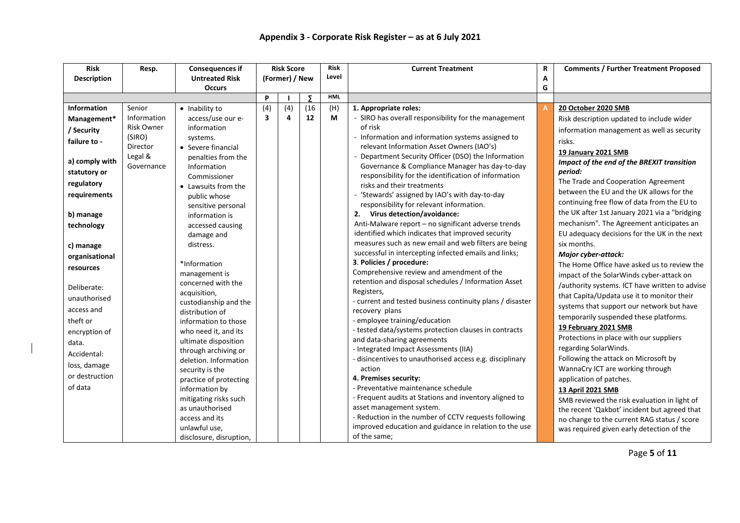| <b>Risk</b>        | Resp.             | <b>Consequences if</b>  |                         | <b>Risk Score</b> |      | <b>Risk</b> | <b>Current Treatment</b>                                     | R | <b>Comments / Further Treatment Proposed</b>   |
|--------------------|-------------------|-------------------------|-------------------------|-------------------|------|-------------|--------------------------------------------------------------|---|------------------------------------------------|
| <b>Description</b> |                   | <b>Untreated Risk</b>   |                         | (Former) / New    |      | Level       |                                                              | Α |                                                |
|                    |                   | <b>Occurs</b>           |                         |                   |      |             |                                                              | G |                                                |
|                    |                   |                         | P                       |                   | Σ    | <b>HML</b>  |                                                              |   |                                                |
| <b>Information</b> | Senior            | • Inability to          | (4)                     | (4)               | (16) | (H)         | 1. Appropriate roles:                                        |   | 20 October 2020 SMB                            |
| Management*        | Information       | access/use our e-       | $\overline{\mathbf{3}}$ | 4                 | 12   | М           | - SIRO has overall responsibility for the management         |   | Risk description updated to include wider      |
| / Security         | <b>Risk Owner</b> | information             |                         |                   |      |             | of risk                                                      |   | information management as well as security     |
| failure to -       | (SIRO)            | systems.                |                         |                   |      |             | - Information and information systems assigned to            |   | risks.                                         |
|                    | Director          | • Severe financial      |                         |                   |      |             | relevant Information Asset Owners (IAO's)                    |   | 19 January 2021 SMB                            |
| a) comply with     | Legal &           | penalties from the      |                         |                   |      |             | - Department Security Officer (DSO) the Information          |   | Impact of the end of the BREXIT transition     |
|                    | Governance        | Information             |                         |                   |      |             | Governance & Compliance Manager has day-to-day               |   | period:                                        |
| statutory or       |                   | Commissioner            |                         |                   |      |             | responsibility for the identification of information         |   |                                                |
| regulatory         |                   | • Lawsuits from the     |                         |                   |      |             | risks and their treatments                                   |   | The Trade and Cooperation Agreement            |
| requirements       |                   | public whose            |                         |                   |      |             | - 'Stewards' assigned by IAO's with day-to-day               |   | between the EU and the UK allows for the       |
|                    |                   | sensitive personal      |                         |                   |      |             | responsibility for relevant information.                     |   | continuing free flow of data from the EU to    |
| b) manage          |                   | information is          |                         |                   |      |             | 2. Virus detection/avoidance:                                |   | the UK after 1st January 2021 via a "bridging  |
| technology         |                   | accessed causing        |                         |                   |      |             | Anti-Malware report - no significant adverse trends          |   | mechanism". The Agreement anticipates an       |
|                    |                   | damage and              |                         |                   |      |             | identified which indicates that improved security            |   | EU adequacy decisions for the UK in the next   |
| c) manage          |                   | distress.               |                         |                   |      |             | measures such as new email and web filters are being         |   | six months.                                    |
| organisational     |                   |                         |                         |                   |      |             | successful in intercepting infected emails and links;        |   | Major cyber-attack:                            |
| resources          |                   | *Information            |                         |                   |      |             | 3. Policies / procedure:                                     |   | The Home Office have asked us to review the    |
|                    |                   | management is           |                         |                   |      |             | Comprehensive review and amendment of the                    |   | impact of the SolarWinds cyber-attack on       |
| Deliberate:        |                   | concerned with the      |                         |                   |      |             | retention and disposal schedules / Information Asset         |   | /authority systems. ICT have written to advise |
| unauthorised       |                   | acquisition,            |                         |                   |      |             | Registers,                                                   |   | that Capita/Updata use it to monitor their     |
|                    |                   | custodianship and the   |                         |                   |      |             | - current and tested business continuity plans / disaster    |   | systems that support our network but have      |
| access and         |                   | distribution of         |                         |                   |      |             | recovery plans                                               |   | temporarily suspended these platforms.         |
| theft or           |                   | information to those    |                         |                   |      |             | - employee training/education                                |   | 19 February 2021 SMB                           |
| encryption of      |                   | who need it, and its    |                         |                   |      |             | - tested data/systems protection clauses in contracts        |   | Protections in place with our suppliers        |
| data.              |                   | ultimate disposition    |                         |                   |      |             | and data-sharing agreements                                  |   | regarding SolarWinds.                          |
| Accidental:        |                   | through archiving or    |                         |                   |      |             | - Integrated Impact Assessments (IIA)                        |   |                                                |
| loss, damage       |                   | deletion. Information   |                         |                   |      |             | - disincentives to unauthorised access e.g. disciplinary     |   | Following the attack on Microsoft by           |
| or destruction     |                   | security is the         |                         |                   |      |             | action                                                       |   | WannaCry ICT are working through               |
| of data            |                   | practice of protecting  |                         |                   |      |             | 4. Premises security:<br>- Preventative maintenance schedule |   | application of patches.                        |
|                    |                   | information by          |                         |                   |      |             | - Frequent audits at Stations and inventory aligned to       |   | 13 April 2021 SMB                              |
|                    |                   | mitigating risks such   |                         |                   |      |             | asset management system.                                     |   | SMB reviewed the risk evaluation in light of   |
|                    |                   | as unauthorised         |                         |                   |      |             | - Reduction in the number of CCTV requests following         |   | the recent 'Qakbot' incident but agreed that   |
|                    |                   | access and its          |                         |                   |      |             | improved education and guidance in relation to the use       |   | no change to the current RAG status / score    |
|                    |                   | unlawful use,           |                         |                   |      |             | of the same;                                                 |   | was required given early detection of the      |
|                    |                   | disclosure, disruption, |                         |                   |      |             |                                                              |   |                                                |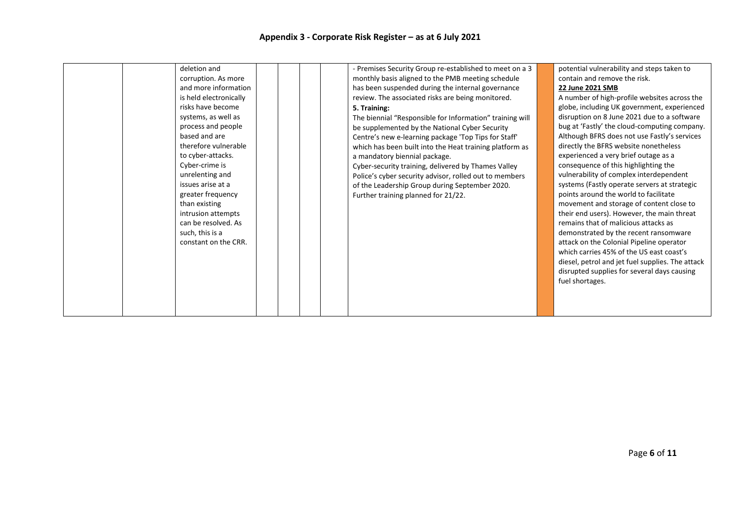| deletion and<br>corruption. As more<br>and more information<br>is held electronically<br>risks have become<br>systems, as well as<br>process and people                                                                                            | - Premises Security Group re-established to meet on a 3<br>monthly basis aligned to the PMB meeting schedule<br>has been suspended during the internal governance<br>review. The associated risks are being monitored.<br>5. Training:<br>The biennial "Responsible for Information" training will                                                         | potential vulnerability and steps taken to<br>contain and remove the risk.<br>22 June 2021 SMB<br>A number of high-profile websites across the<br>globe, including UK government, experienced<br>disruption on 8 June 2021 due to a software<br>bug at 'Fastly' the cloud-computing company.                                                                                                                                                                                                                                                                                                                                                                                                       |
|----------------------------------------------------------------------------------------------------------------------------------------------------------------------------------------------------------------------------------------------------|------------------------------------------------------------------------------------------------------------------------------------------------------------------------------------------------------------------------------------------------------------------------------------------------------------------------------------------------------------|----------------------------------------------------------------------------------------------------------------------------------------------------------------------------------------------------------------------------------------------------------------------------------------------------------------------------------------------------------------------------------------------------------------------------------------------------------------------------------------------------------------------------------------------------------------------------------------------------------------------------------------------------------------------------------------------------|
| based and are<br>therefore vulnerable<br>to cyber-attacks.<br>Cyber-crime is<br>unrelenting and<br>issues arise at a<br>greater frequency<br>than existing<br>intrusion attempts<br>can be resolved. As<br>such, this is a<br>constant on the CRR. | Centre's new e-learning package 'Top Tips for Staff'<br>which has been built into the Heat training platform as<br>a mandatory biennial package.<br>Cyber-security training, delivered by Thames Valley<br>Police's cyber security advisor, rolled out to members<br>of the Leadership Group during September 2020.<br>Further training planned for 21/22. | Although BFRS does not use Fastly's services<br>directly the BFRS website nonetheless<br>experienced a very brief outage as a<br>consequence of this highlighting the<br>vulnerability of complex interdependent<br>systems (Fastly operate servers at strategic<br>points around the world to facilitate<br>movement and storage of content close to<br>their end users). However, the main threat<br>remains that of malicious attacks as<br>demonstrated by the recent ransomware<br>attack on the Colonial Pipeline operator<br>which carries 45% of the US east coast's<br>diesel, petrol and jet fuel supplies. The attack<br>disrupted supplies for several days causing<br>fuel shortages. |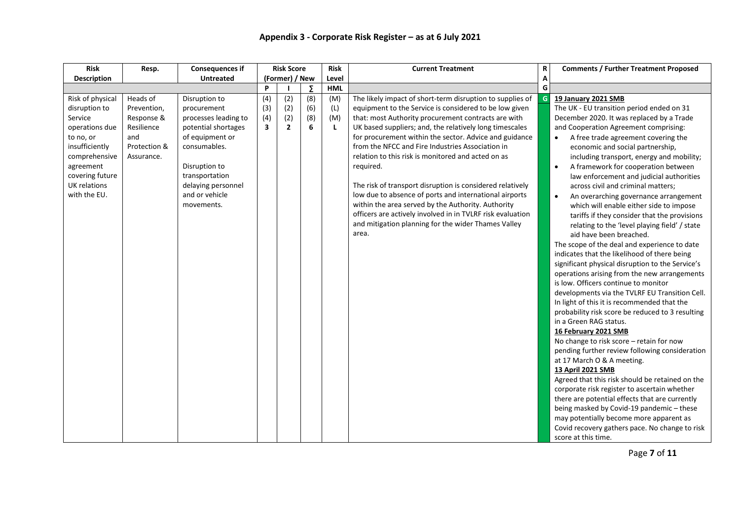| <b>Risk</b>                                                                                                                                                                           | Resp.                                                                                    | <b>Consequences if</b>                                                                                                                                                                                  |                                              | <b>Risk Score</b>                   |                        | <b>Risk</b>                   | <b>Current Treatment</b>                                                                                                                                                                                                                                                                                                                                                                                                                                                                                                                                                                                                                                                                                                          | $\mathbf R$ | <b>Comments / Further Treatment Proposed</b>                                                                                                                                                                                                                                                                                                                                                                                                                                                                                                                                                                                                                                                                                                                                                                                                                                                                                                                                                                                                                                                                                                                                                                                                                                                                                                                                                                                                                                                                                                                                       |
|---------------------------------------------------------------------------------------------------------------------------------------------------------------------------------------|------------------------------------------------------------------------------------------|---------------------------------------------------------------------------------------------------------------------------------------------------------------------------------------------------------|----------------------------------------------|-------------------------------------|------------------------|-------------------------------|-----------------------------------------------------------------------------------------------------------------------------------------------------------------------------------------------------------------------------------------------------------------------------------------------------------------------------------------------------------------------------------------------------------------------------------------------------------------------------------------------------------------------------------------------------------------------------------------------------------------------------------------------------------------------------------------------------------------------------------|-------------|------------------------------------------------------------------------------------------------------------------------------------------------------------------------------------------------------------------------------------------------------------------------------------------------------------------------------------------------------------------------------------------------------------------------------------------------------------------------------------------------------------------------------------------------------------------------------------------------------------------------------------------------------------------------------------------------------------------------------------------------------------------------------------------------------------------------------------------------------------------------------------------------------------------------------------------------------------------------------------------------------------------------------------------------------------------------------------------------------------------------------------------------------------------------------------------------------------------------------------------------------------------------------------------------------------------------------------------------------------------------------------------------------------------------------------------------------------------------------------------------------------------------------------------------------------------------------------|
| <b>Description</b>                                                                                                                                                                    |                                                                                          | <b>Untreated</b>                                                                                                                                                                                        |                                              | (Former) / New                      |                        | Level                         |                                                                                                                                                                                                                                                                                                                                                                                                                                                                                                                                                                                                                                                                                                                                   |             |                                                                                                                                                                                                                                                                                                                                                                                                                                                                                                                                                                                                                                                                                                                                                                                                                                                                                                                                                                                                                                                                                                                                                                                                                                                                                                                                                                                                                                                                                                                                                                                    |
|                                                                                                                                                                                       |                                                                                          |                                                                                                                                                                                                         | P                                            |                                     | Σ                      | <b>HML</b>                    |                                                                                                                                                                                                                                                                                                                                                                                                                                                                                                                                                                                                                                                                                                                                   | G           |                                                                                                                                                                                                                                                                                                                                                                                                                                                                                                                                                                                                                                                                                                                                                                                                                                                                                                                                                                                                                                                                                                                                                                                                                                                                                                                                                                                                                                                                                                                                                                                    |
| Risk of physical<br>disruption to<br>Service<br>operations due<br>to no, or<br>insufficiently<br>comprehensive<br>agreement<br>covering future<br><b>UK relations</b><br>with the EU. | Heads of<br>Prevention,<br>Response &<br>Resilience<br>and<br>Protection &<br>Assurance. | Disruption to<br>procurement<br>processes leading to<br>potential shortages<br>of equipment or<br>consumables.<br>Disruption to<br>transportation<br>delaying personnel<br>and or vehicle<br>movements. | (4)<br>(3)<br>(4)<br>$\overline{\mathbf{3}}$ | (2)<br>(2)<br>(2)<br>$\overline{2}$ | (8)<br>(6)<br>(8)<br>6 | (M)<br>(L)<br>(M)<br><b>L</b> | The likely impact of short-term disruption to supplies of<br>equipment to the Service is considered to be low given<br>that: most Authority procurement contracts are with<br>UK based suppliers; and, the relatively long timescales<br>for procurement within the sector. Advice and guidance<br>from the NFCC and Fire Industries Association in<br>relation to this risk is monitored and acted on as<br>required.<br>The risk of transport disruption is considered relatively<br>low due to absence of ports and international airports<br>within the area served by the Authority. Authority<br>officers are actively involved in in TVLRF risk evaluation<br>and mitigation planning for the wider Thames Valley<br>area. | G           | <b>19 January 2021 SMB</b><br>The UK - EU transition period ended on 31<br>December 2020. It was replaced by a Trade<br>and Cooperation Agreement comprising:<br>A free trade agreement covering the<br>$\bullet$<br>economic and social partnership,<br>including transport, energy and mobility;<br>A framework for cooperation between<br>law enforcement and judicial authorities<br>across civil and criminal matters;<br>An overarching governance arrangement<br>$\bullet$<br>which will enable either side to impose<br>tariffs if they consider that the provisions<br>relating to the 'level playing field' / state<br>aid have been breached.<br>The scope of the deal and experience to date<br>indicates that the likelihood of there being<br>significant physical disruption to the Service's<br>operations arising from the new arrangements<br>is low. Officers continue to monitor<br>developments via the TVLRF EU Transition Cell.<br>In light of this it is recommended that the<br>probability risk score be reduced to 3 resulting<br>in a Green RAG status.<br>16 February 2021 SMB<br>No change to risk score - retain for now<br>pending further review following consideration<br>at 17 March O & A meeting.<br>13 April 2021 SMB<br>Agreed that this risk should be retained on the<br>corporate risk register to ascertain whether<br>there are potential effects that are currently<br>being masked by Covid-19 pandemic - these<br>may potentially become more apparent as<br>Covid recovery gathers pace. No change to risk<br>score at this time. |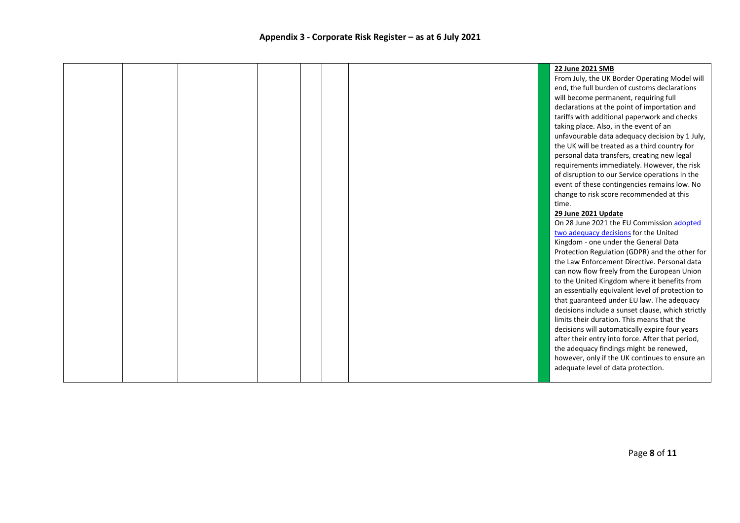|  |  |  | 22 June 2021 SMB                                  |
|--|--|--|---------------------------------------------------|
|  |  |  | From July, the UK Border Operating Model will     |
|  |  |  | end, the full burden of customs declarations      |
|  |  |  | will become permanent, requiring full             |
|  |  |  | declarations at the point of importation and      |
|  |  |  | tariffs with additional paperwork and checks      |
|  |  |  | taking place. Also, in the event of an            |
|  |  |  | unfavourable data adequacy decision by 1 July,    |
|  |  |  | the UK will be treated as a third country for     |
|  |  |  | personal data transfers, creating new legal       |
|  |  |  | requirements immediately. However, the risk       |
|  |  |  | of disruption to our Service operations in the    |
|  |  |  | event of these contingencies remains low. No      |
|  |  |  | change to risk score recommended at this          |
|  |  |  | time.                                             |
|  |  |  | 29 June 2021 Update                               |
|  |  |  | On 28 June 2021 the EU Commission adopted         |
|  |  |  | two adequacy decisions for the United             |
|  |  |  | Kingdom - one under the General Data              |
|  |  |  | Protection Regulation (GDPR) and the other for    |
|  |  |  | the Law Enforcement Directive. Personal data      |
|  |  |  | can now flow freely from the European Union       |
|  |  |  | to the United Kingdom where it benefits from      |
|  |  |  | an essentially equivalent level of protection to  |
|  |  |  | that guaranteed under EU law. The adequacy        |
|  |  |  | decisions include a sunset clause, which strictly |
|  |  |  | limits their duration. This means that the        |
|  |  |  | decisions will automatically expire four years    |
|  |  |  | after their entry into force. After that period,  |
|  |  |  | the adequacy findings might be renewed,           |
|  |  |  | however, only if the UK continues to ensure an    |
|  |  |  | adequate level of data protection.                |
|  |  |  |                                                   |
|  |  |  |                                                   |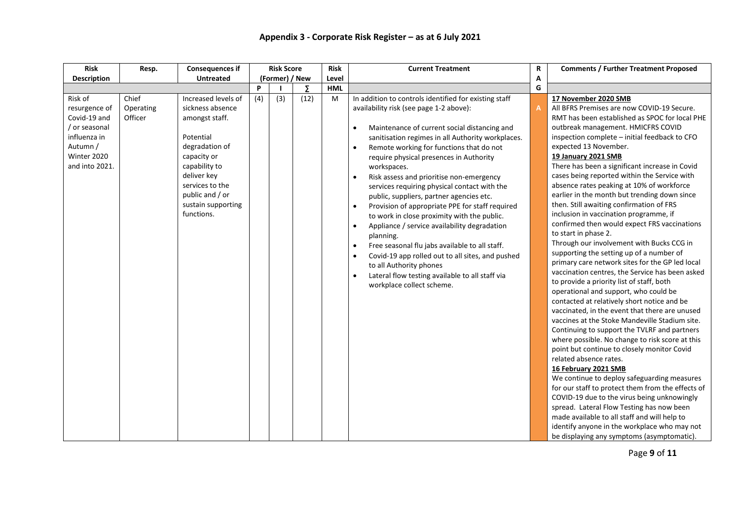| <b>Risk</b>                                                                                                            | Resp.                         | <b>Consequences if</b>                                                                                                                                                                                            |     | <b>Risk Score</b> |      | <b>Risk</b> | <b>Current Treatment</b>                                                                                                                                                                                                                                                                                                                                                                                                                                                                                                                                                                                                                                                                                                                                                                                                                                                                                                                    | R | <b>Comments / Further Treatment Proposed</b>                                                                                                                                                                                                                                                                                                                                                                                                                                                                                                                                                                                                                                                                                                                                                                                                                                                                                                                                                                                                                                                                                                                                                                                                                                                                                                                                                                                                                                                                                                                                                                       |
|------------------------------------------------------------------------------------------------------------------------|-------------------------------|-------------------------------------------------------------------------------------------------------------------------------------------------------------------------------------------------------------------|-----|-------------------|------|-------------|---------------------------------------------------------------------------------------------------------------------------------------------------------------------------------------------------------------------------------------------------------------------------------------------------------------------------------------------------------------------------------------------------------------------------------------------------------------------------------------------------------------------------------------------------------------------------------------------------------------------------------------------------------------------------------------------------------------------------------------------------------------------------------------------------------------------------------------------------------------------------------------------------------------------------------------------|---|--------------------------------------------------------------------------------------------------------------------------------------------------------------------------------------------------------------------------------------------------------------------------------------------------------------------------------------------------------------------------------------------------------------------------------------------------------------------------------------------------------------------------------------------------------------------------------------------------------------------------------------------------------------------------------------------------------------------------------------------------------------------------------------------------------------------------------------------------------------------------------------------------------------------------------------------------------------------------------------------------------------------------------------------------------------------------------------------------------------------------------------------------------------------------------------------------------------------------------------------------------------------------------------------------------------------------------------------------------------------------------------------------------------------------------------------------------------------------------------------------------------------------------------------------------------------------------------------------------------------|
| <b>Description</b>                                                                                                     |                               | <b>Untreated</b>                                                                                                                                                                                                  |     | (Former) / New    |      | Level       |                                                                                                                                                                                                                                                                                                                                                                                                                                                                                                                                                                                                                                                                                                                                                                                                                                                                                                                                             | Α |                                                                                                                                                                                                                                                                                                                                                                                                                                                                                                                                                                                                                                                                                                                                                                                                                                                                                                                                                                                                                                                                                                                                                                                                                                                                                                                                                                                                                                                                                                                                                                                                                    |
|                                                                                                                        |                               |                                                                                                                                                                                                                   | P   |                   | Σ    | <b>HML</b>  |                                                                                                                                                                                                                                                                                                                                                                                                                                                                                                                                                                                                                                                                                                                                                                                                                                                                                                                                             | G |                                                                                                                                                                                                                                                                                                                                                                                                                                                                                                                                                                                                                                                                                                                                                                                                                                                                                                                                                                                                                                                                                                                                                                                                                                                                                                                                                                                                                                                                                                                                                                                                                    |
| Risk of<br>resurgence of<br>Covid-19 and<br>/ or seasonal<br>influenza in<br>Autumn /<br>Winter 2020<br>and into 2021. | Chief<br>Operating<br>Officer | Increased levels of<br>sickness absence<br>amongst staff.<br>Potential<br>degradation of<br>capacity or<br>capability to<br>deliver key<br>services to the<br>public and / or<br>sustain supporting<br>functions. | (4) | $\overline{3)}$   | (12) | M           | In addition to controls identified for existing staff<br>availability risk (see page 1-2 above):<br>Maintenance of current social distancing and<br>$\bullet$<br>sanitisation regimes in all Authority workplaces.<br>Remote working for functions that do not<br>$\bullet$<br>require physical presences in Authority<br>workspaces.<br>Risk assess and prioritise non-emergency<br>$\bullet$<br>services requiring physical contact with the<br>public, suppliers, partner agencies etc.<br>Provision of appropriate PPE for staff required<br>$\bullet$<br>to work in close proximity with the public.<br>Appliance / service availability degradation<br>$\bullet$<br>planning.<br>Free seasonal flu jabs available to all staff.<br>$\bullet$<br>Covid-19 app rolled out to all sites, and pushed<br>$\bullet$<br>to all Authority phones<br>Lateral flow testing available to all staff via<br>$\bullet$<br>workplace collect scheme. | A | 17 November 2020 SMB<br>All BFRS Premises are now COVID-19 Secure.<br>RMT has been established as SPOC for local PHE<br>outbreak management. HMICFRS COVID<br>inspection complete - initial feedback to CFO<br>expected 13 November.<br>19 January 2021 SMB<br>There has been a significant increase in Covid<br>cases being reported within the Service with<br>absence rates peaking at 10% of workforce<br>earlier in the month but trending down since<br>then. Still awaiting confirmation of FRS<br>inclusion in vaccination programme, if<br>confirmed then would expect FRS vaccinations<br>to start in phase 2.<br>Through our involvement with Bucks CCG in<br>supporting the setting up of a number of<br>primary care network sites for the GP led local<br>vaccination centres, the Service has been asked<br>to provide a priority list of staff, both<br>operational and support, who could be<br>contacted at relatively short notice and be<br>vaccinated, in the event that there are unused<br>vaccines at the Stoke Mandeville Stadium site.<br>Continuing to support the TVLRF and partners<br>where possible. No change to risk score at this<br>point but continue to closely monitor Covid<br>related absence rates.<br>16 February 2021 SMB<br>We continue to deploy safeguarding measures<br>for our staff to protect them from the effects of<br>COVID-19 due to the virus being unknowingly<br>spread. Lateral Flow Testing has now been<br>made available to all staff and will help to<br>identify anyone in the workplace who may not<br>be displaying any symptoms (asymptomatic). |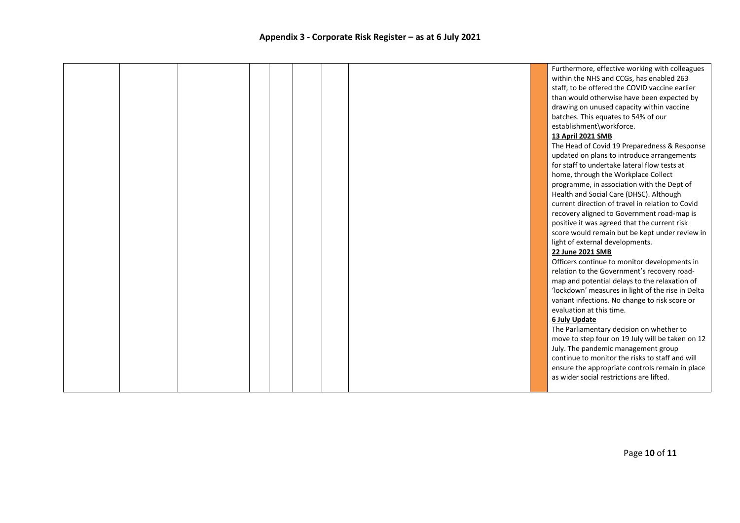|  |  |  |  | Furthermore, effective working with colleagues    |
|--|--|--|--|---------------------------------------------------|
|  |  |  |  | within the NHS and CCGs, has enabled 263          |
|  |  |  |  | staff, to be offered the COVID vaccine earlier    |
|  |  |  |  | than would otherwise have been expected by        |
|  |  |  |  | drawing on unused capacity within vaccine         |
|  |  |  |  | batches. This equates to 54% of our               |
|  |  |  |  | establishment\workforce.                          |
|  |  |  |  | 13 April 2021 SMB                                 |
|  |  |  |  | The Head of Covid 19 Preparedness & Response      |
|  |  |  |  | updated on plans to introduce arrangements        |
|  |  |  |  | for staff to undertake lateral flow tests at      |
|  |  |  |  | home, through the Workplace Collect               |
|  |  |  |  | programme, in association with the Dept of        |
|  |  |  |  | Health and Social Care (DHSC). Although           |
|  |  |  |  | current direction of travel in relation to Covid  |
|  |  |  |  | recovery aligned to Government road-map is        |
|  |  |  |  | positive it was agreed that the current risk      |
|  |  |  |  | score would remain but be kept under review in    |
|  |  |  |  | light of external developments.                   |
|  |  |  |  | 22 June 2021 SMB                                  |
|  |  |  |  | Officers continue to monitor developments in      |
|  |  |  |  | relation to the Government's recovery road-       |
|  |  |  |  | map and potential delays to the relaxation of     |
|  |  |  |  | 'lockdown' measures in light of the rise in Delta |
|  |  |  |  | variant infections. No change to risk score or    |
|  |  |  |  | evaluation at this time.                          |
|  |  |  |  | 6 July Update                                     |
|  |  |  |  | The Parliamentary decision on whether to          |
|  |  |  |  | move to step four on 19 July will be taken on 12  |
|  |  |  |  | July. The pandemic management group               |
|  |  |  |  | continue to monitor the risks to staff and will   |
|  |  |  |  | ensure the appropriate controls remain in place   |
|  |  |  |  | as wider social restrictions are lifted.          |
|  |  |  |  |                                                   |